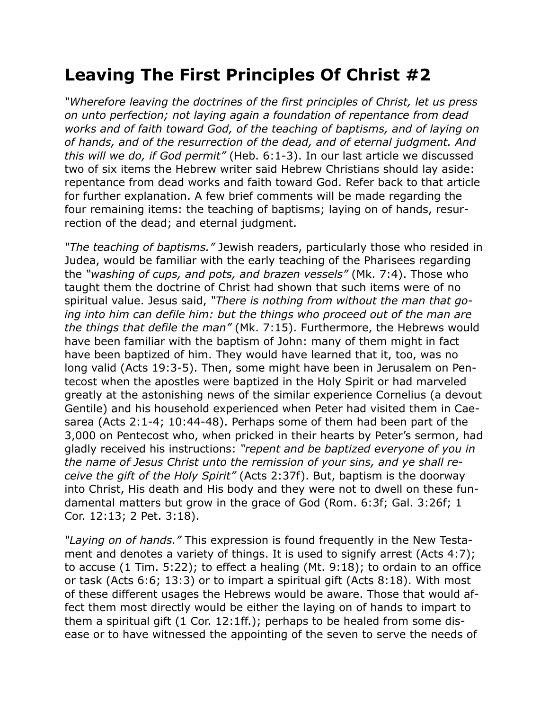## **Leaving The First Principles Of Christ #2**

*"Wherefore leaving the doctrines of the first principles of Christ, let us press on unto perfection; not laying again a foundation of repentance from dead works and of faith toward God, of the teaching of baptisms, and of laying on of hands, and of the resurrection of the dead, and of eternal judgment. And this will we do, if God permit"* (Heb. 6:1-3). In our last article we discussed two of six items the Hebrew writer said Hebrew Christians should lay aside: repentance from dead works and faith toward God. Refer back to that article for further explanation. A few brief comments will be made regarding the four remaining items: the teaching of baptisms; laying on of hands, resurrection of the dead; and eternal judgment.

*"The teaching of baptisms."* Jewish readers, particularly those who resided in Judea, would be familiar with the early teaching of the Pharisees regarding the *"washing of cups, and pots, and brazen vessels"* (Mk. 7:4). Those who taught them the doctrine of Christ had shown that such items were of no spiritual value. Jesus said, *"There is nothing from without the man that going into him can defile him: but the things who proceed out of the man are the things that defile the man"* (Mk. 7:15). Furthermore, the Hebrews would have been familiar with the baptism of John: many of them might in fact have been baptized of him. They would have learned that it, too, was no long valid (Acts 19:3-5). Then, some might have been in Jerusalem on Pentecost when the apostles were baptized in the Holy Spirit or had marveled greatly at the astonishing news of the similar experience Cornelius (a devout Gentile) and his household experienced when Peter had visited them in Caesarea (Acts 2:1-4; 10:44-48). Perhaps some of them had been part of the 3,000 on Pentecost who, when pricked in their hearts by Peter's sermon, had gladly received his instructions: *"repent and be baptized everyone of you in the name of Jesus Christ unto the remission of your sins, and ye shall receive the gift of the Holy Spirit"* (Acts 2:37f). But, baptism is the doorway into Christ, His death and His body and they were not to dwell on these fundamental matters but grow in the grace of God (Rom. 6:3f; Gal. 3:26f; 1 Cor. 12:13; 2 Pet. 3:18).

*"Laying on of hands."* This expression is found frequently in the New Testament and denotes a variety of things. It is used to signify arrest (Acts 4:7); to accuse (1 Tim. 5:22); to effect a healing (Mt. 9:18); to ordain to an office or task (Acts 6:6; 13:3) or to impart a spiritual gift (Acts 8:18). With most of these different usages the Hebrews would be aware. Those that would affect them most directly would be either the laying on of hands to impart to them a spiritual gift (1 Cor. 12:1ff.); perhaps to be healed from some disease or to have witnessed the appointing of the seven to serve the needs of